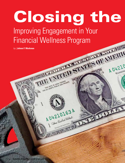# Closing the Improving Engagement in Your Financial Wellness Program

FOR ALL DEBTS, PUBLIC AND PRIVATE

A04210163A

0421010

Welthe Hadest States

*by |* **Joleen F. Workman**

**30 <b>benefits magazine** january/february 20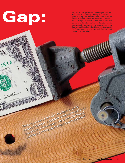Gap:

 $E_{13}$ 

163A

TON.D.C.

John W Smoot

elacy of the Irease of

The pandemic has caused many employees to put an

increased emphasis on saving for retirement as well as for Interested by the best way to integrate financial planning and literacy into employee benefits packages?

Reproduced with permission from *Benefits Magazine,* Volume 59, No. 1, January/February 2022, pages 30-34, published by the International Foundation of Employee Benefit Plans (www.ifebp.org), Brookfield, Wis. All rights reserved. Statements or opinions expressed in this article are those of the author and do not necessarily represent the views or positions of the International Foundation, its officers, directors or staff. No further transmission or electronic distribution of this material is permitted.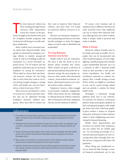he term *financial wellness* has<br>been trending through human<br>resources (HR) departments<br>across the country as the pan-<br>demic brought to the forefront the need he term *financial wellness* has been trending through human resources (HR) departments across the country as the panfor workplace benefits programs that tie financial well-being to overall workplace satisfaction.

Many workers have increased anxiety about their financial health. More people are interested in emergency savings vehicles to weather unexpected events as well as in building wealth for retirement. In a recent Principal® national survey, 77% of workers said the pandemic made them put an increased emphasis on saving for retirement.<sup>1</sup> When asked to choose their top financial stressors, workers list not being able to retire when they want to (41%), not having enough emergency savings (32%) and health care costs for themselves or their loved ones (29%).<sup>2</sup>

These areas are all related to a sense of security for workers and their families and can be addressed through workplace financial wellness programs. More than half of workers say

they want to improve their financial wellness, and more than 71% would use financial wellness resources if offered.3

But how can businesses integrate financial planning and literacy into their benefits packages to make the biggest impact as well as make it affordable and sustainable?

### The Gap Between Intention and Action

People want to save for retirement. The issue is that the desire to do so doesn't always translate into action. When workers are given a selection of educational methods they prefer for retirement saving, the most popular options are often emails with educational content, prerecorded/on-demand webinars, educational resources on a website and live online webinars.<sup>4</sup>

Employers, however, often struggle to get positive employee engagement. When asked about the key challenges to offering financial wellness solutions, 49% of businesses feel their employees will not use the solutions if offered.<sup>5</sup>

## takeaways

- The pandemic has caused many employees to have increased anxiety about their financial health, and they are more interested in building up savings for emergencies as well as retirement.
- Workplace financial wellness programs can meet many of these needs, but employers must use tactics, including personalization, to bridge the gap between employee intention and action.
- Having a retirement savings platform that's simple to use and integrated with other benefit actions such as health care enrollment helps keep retirement savings top of mind and encourages action.
- Many workers are interested in investment advice for their retirement savings. Options include access to financial investment and online tools or models.
- Employers should communicate how financial wellness programs can help them increase their savings outcomes and improve overall financial well-being. Surveys help identify employee needs.

Of course, every business and its employee base is different. But there are some universal tactics that employers can use to ensure their financial wellness offerings best serve their workers: Make it simple, make it personal and make it valuable.

#### Make It Simple

Financial wellness benefits need to be simple and easily accessible. For example, they can be incorporated into other benefits programs. If you're highlighting a health program that includes a gym membership discount, use it as a moment to offer a financial health check-in that provides a free professional consultation. Use health care enrollment materials to remind employees that a health savings account (HSA), if they are eligible to contribute to one, can be a good savings vehicle and can provide a cushion for future health needs.

Investigate a retirement savings platform that's easy to use, informative and fun. For instance, a retirement planner keeps participants updated on their savings goal progress with simple pie charts and color-coded bar graphs. It gives workers a chance to compare themselves with peers in their industry, which is both enlightening and motivating for financial planning.

Ideally, these opportunities and resources are shared with employees, not just online but via mobile apps too. An increasing percentage of retirement plan participants are now accessing their plans through their mobile devices compared with before the pandemic.

When things get complicated, access to financial help through a trusted financial professional can be key,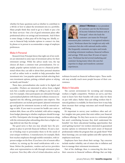whether for basic questions such as whether to contribute to a 401(k) or how to adjust the investment mix in a portfolio. Many people think they need to go to a bank or pay a fee for these services—but a lot of good retirement plans offer professional advice on savings and investments. And if there is some charge, it often pays off in the long run. Ideally, access to financial help includes options to connect via chat, by phone or in person to accommodate a range of employee preferences.

#### Make It Personal

Research from Principal shows that eight out of ten workers are interested in some type of investment advice for their retirement savings. While the advice needs vary, the top choices all share a common trait: personalization. For example, popular options include access to a financial professional whom they can talk to about their personal situation as well as online tools or models to help personalize their investment mix. Less popular options include selecting their own investment options, picking a default option or relying on family and friends.<sup>6</sup>

These days, personalization also needs to be digital and accessible—Workers are interested in advice from a digital tool, but a smaller percentage are willing to pay for such a tool. For example, when participants are onboarded through a personalized platform with financial wellness resources integrated into the offering, participation rates improve. This personalization can include participants' planned retirement age and goals for retirement income as well as external savings or debt. If you want to account for health care costs or student debt, those can all be included, with advice ranging from budget planning to whether employees should leverage an HSA. Participants who leverage financial resources along with the retirement plan onboarding often have a higher savings deferral rate than the average.<sup>7</sup>

The good news is that you may already have the programs in place to provide financial wellness. It's just a matter of finding ways to personalize them to fit the needs of your unique workforce. A manufacturer, for example, likely best reaches employees through mobile reminders, with inperson nudges on the floor. If you have a lot of remote office workers, try mixing up the email notifications with a webinar. Before the pandemic, vendors and service providers often sent representatives to talk through retirement plans in person. Now they offer a lot of virtual education, such as



**Joleen F. Workman** is vice president of customer care for the Retirement & Income Solutions business unit at Principal®, where she leads the

customer care teams for Principal retirement plan customers. A recognized industry expert, Workman shares her insight not only with customers but also with national media outlets. She frequently comments on topics and trends including retirement readiness, financial wellness and savings. With more than 30 years of experience, Workman has led several marketing and customer-facing teams where she uses her expertise to shape and transform customer experiences.

webinars focused on financial wellness topics. These methods may actually reach more people because of their convenience.

#### Make It Valuable

The current environment for recruiting and retaining workers is highly competitive. Workers are savvy, and they want to know how their benefits will create value for them on par with salary. Rather than just telling workers that financial guidance is available, let them know how it may help them increase their savings outcomes and overall financial well-being.

It's important to survey your workforce often and collect insights into pain points that exist within your financial wellness offerings. Do they have access to a retirement plan but aren't contributing because they don't understand the benefits? Are there educational funding opportunities that aren't getting traction? Are workers interested in guaranteed income options in retirement but aren't aware of financial professionals within the program that can guide them? With these learnings, you can make updates and offer options that employees need most.

Employees have fears about their savings. Top concerns include market volatility, rate of return due to inflation and how to manage their retirement investments.

Part of the challenge, then, is connecting the dots from their concerns to financial wellness offerings that can help.